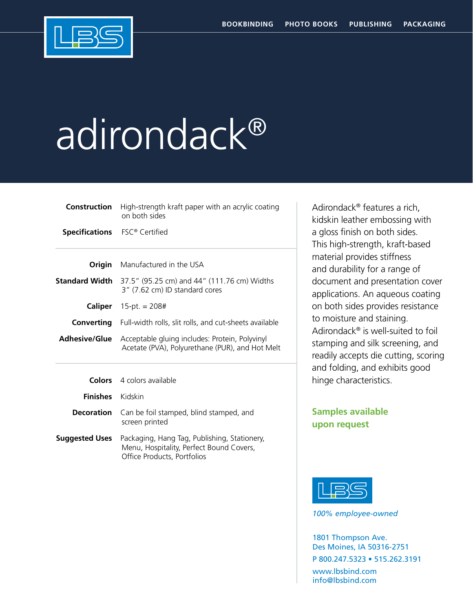

## adirondack®

| Construction                         | High-strength kraft paper with an acrylic coating<br>on both sides                                                      |
|--------------------------------------|-------------------------------------------------------------------------------------------------------------------------|
| <b>Specifications</b> FSC® Certified |                                                                                                                         |
|                                      | <b>Origin</b> Manufactured in the USA                                                                                   |
|                                      | <b>Standard Width</b> $37.5''$ (95.25 cm) and 44" (111.76 cm) Widths<br>3" (7.62 cm) ID standard cores                  |
|                                      | <b>Caliper</b> $15-pt = 208#$                                                                                           |
|                                      | <b>Converting</b> Full-width rolls, slit rolls, and cut-sheets available                                                |
| <b>Adhesive/Glue</b>                 | Acceptable gluing includes: Protein, Polyvinyl<br>Acetate (PVA), Polyurethane (PUR), and Hot Melt                       |
|                                      | <b>Colors</b> 4 colors available                                                                                        |
| <b>Finishes</b>                      | Kidskin                                                                                                                 |
| <b>Decoration</b>                    | Can be foil stamped, blind stamped, and<br>screen printed                                                               |
| <b>Suggested Uses</b>                | Packaging, Hang Tag, Publishing, Stationery,<br>Menu, Hospitality, Perfect Bound Covers,<br>Office Products, Portfolios |

Adirondack® features a rich, kidskin leather embossing with a gloss finish on both sides. This high-strength, kraft-based material provides stiffness and durability for a range of document and presentation cover applications. An aqueous coating on both sides provides resistance to moisture and staining. Adirondack® is well-suited to foil stamping and silk screening, and readily accepts die cutting, scoring and folding, and exhibits good hinge characteristics.

## **Samples available upon request**



*100% employee-owned*

1801 Thompson Ave. Des Moines, IA 50316-2751 P 800.247.5323 • 515.262.3191 www.lbsbind.com info@lbsbind.com